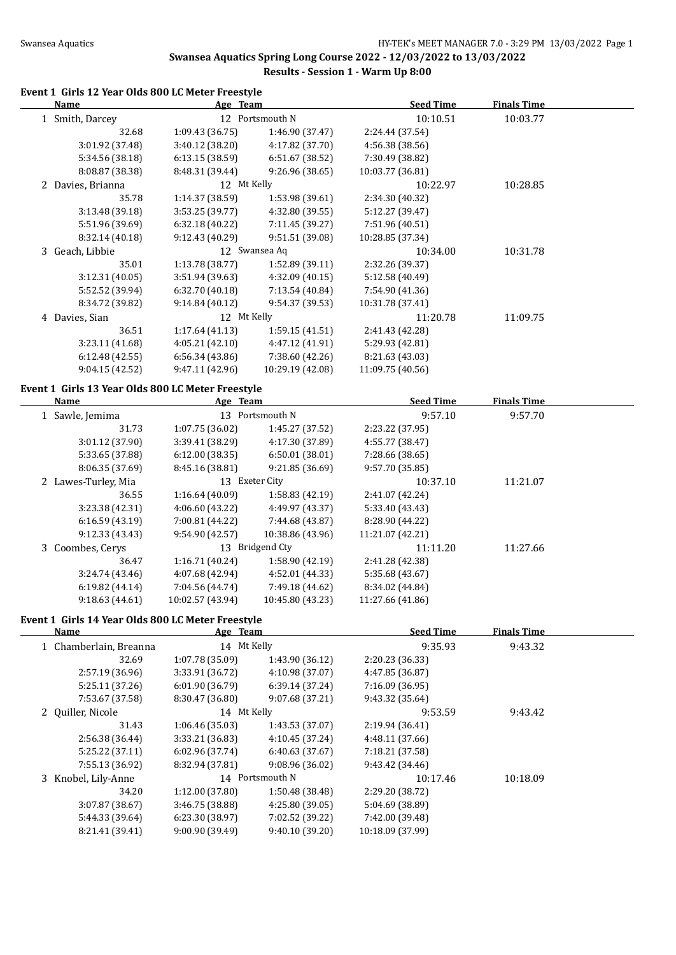### **Swansea Aquatics Spring Long Course 2022 - 12/03/2022 to 13/03/2022 Results - Session 1 - Warm Up 8:00**

### **Event 1 Girls 12 Year Olds 800 LC Meter Freestyle**

| <b>Name</b>                                       | Age Team        |                  | <b>Seed Time</b> | <b>Finals Time</b> |  |
|---------------------------------------------------|-----------------|------------------|------------------|--------------------|--|
| 1 Smith, Darcey                                   |                 | 12 Portsmouth N  | 10:10.51         | 10:03.77           |  |
| 32.68                                             | 1:09.43(36.75)  | 1:46.90 (37.47)  | 2:24.44 (37.54)  |                    |  |
| 3:01.92 (37.48)                                   | 3:40.12 (38.20) | 4:17.82 (37.70)  | 4:56.38 (38.56)  |                    |  |
| 5:34.56 (38.18)                                   | 6:13.15(38.59)  | 6:51.67 (38.52)  | 7:30.49 (38.82)  |                    |  |
| 8:08.87 (38.38)                                   | 8:48.31 (39.44) | 9:26.96(38.65)   | 10:03.77 (36.81) |                    |  |
| 2 Davies, Brianna                                 | 12 Mt Kelly     |                  | 10:22.97         | 10:28.85           |  |
| 35.78                                             | 1:14.37 (38.59) | 1:53.98 (39.61)  | 2:34.30 (40.32)  |                    |  |
| 3:13.48(39.18)                                    | 3:53.25 (39.77) | 4:32.80 (39.55)  | 5:12.27 (39.47)  |                    |  |
| 5:51.96 (39.69)                                   | 6:32.18 (40.22) | 7:11.45 (39.27)  | 7:51.96 (40.51)  |                    |  |
| 8:32.14 (40.18)                                   | 9:12.43 (40.29) | 9:51.51 (39.08)  | 10:28.85 (37.34) |                    |  |
| 3 Geach, Libbie                                   |                 | 12 Swansea Aq    | 10:34.00         | 10:31.78           |  |
| 35.01                                             | 1:13.78 (38.77) | 1:52.89 (39.11)  | 2:32.26 (39.37)  |                    |  |
| 3:12.31(40.05)                                    | 3:51.94(39.63)  | 4:32.09 (40.15)  | 5:12.58 (40.49)  |                    |  |
| 5:52.52 (39.94)                                   | 6:32.70(40.18)  | 7:13.54 (40.84)  | 7:54.90 (41.36)  |                    |  |
| 8:34.72 (39.82)                                   | 9:14.84(40.12)  | 9:54.37 (39.53)  | 10:31.78 (37.41) |                    |  |
| 4 Davies, Sian                                    | 12 Mt Kelly     |                  | 11:20.78         | 11:09.75           |  |
| 36.51                                             | 1:17.64(41.13)  | 1:59.15(41.51)   | 2:41.43 (42.28)  |                    |  |
| 3:23.11 (41.68)                                   | 4:05.21 (42.10) | 4:47.12 (41.91)  | 5:29.93 (42.81)  |                    |  |
| 6:12.48(42.55)                                    | 6:56.34(43.86)  | 7:38.60 (42.26)  | 8:21.63 (43.03)  |                    |  |
| 9:04.15(42.52)                                    | 9:47.11 (42.96) | 10:29.19 (42.08) | 11:09.75 (40.56) |                    |  |
| Event 1 Girls 13 Year Olds 800 LC Meter Freestyle |                 |                  |                  |                    |  |
| Name                                              | Age Team        |                  | <b>Seed Time</b> | <b>Finals Time</b> |  |
| 1 Sawle, Jemima                                   |                 | 13 Portsmouth N  | 9:57.10          | 9:57.70            |  |
| 31.73                                             | 1:07.75(36.02)  | 1:45.27 (37.52)  | 2:23.22 (37.95)  |                    |  |
| 3:01.12 (37.90)                                   | 3:39.41 (38.29) | 4:17.30 (37.89)  | 4:55.77 (38.47)  |                    |  |
|                                                   |                 | 6:50.01 (38.01)  | 7:28.66 (38.65)  |                    |  |
| 5:33.65 (37.88)                                   | 6:12.00(38.35)  |                  |                  |                    |  |

2 Lawes-Turley, Mia 13 Exeter City 10:37.10 11:21.07 36.55 1:16.64 (40.09) 1:58.83 (42.19) 2:41.07 (42.24)

3 Coombes, Cerys 13 Bridgend Cty 11:11.20 11:27.66 36.47 1:16.71 (40.24) 1:58.90 (42.19) 2:41.28 (42.38)

3:23.38 (42.31) 4:06.60 (43.22) 4:49.97 (43.37) 5:33.40 (43.43) 6:16.59 (43.19) 7:00.81 (44.22) 7:44.68 (43.87) 8:28.90 (44.22) 9:12.33 (43.43) 9:54.90 (42.57) 10:38.86 (43.96) 11:21.07 (42.21)

3:24.74 (43.46) 4:07.68 (42.94) 4:52.01 (44.33) 5:35.68 (43.67) 6:19.82 (44.14) 7:04.56 (44.74) 7:49.18 (44.62) 8:34.02 (44.84) 9:18.63 (44.61) 10:02.57 (43.94) 10:45.80 (43.23) 11:27.66 (41.86)

### **Event 1 Girls 14 Year Olds 800 LC Meter Freestyle**

 $\overline{\phantom{a}}$ 

| Name            |                                                                    |                 | <b>Seed Time</b>                                          | <b>Finals Time</b> |  |
|-----------------|--------------------------------------------------------------------|-----------------|-----------------------------------------------------------|--------------------|--|
|                 |                                                                    |                 | 9:35.93                                                   | 9:43.32            |  |
| 32.69           | 1:07.78 (35.09)                                                    | 1:43.90 (36.12) | 2:20.23 (36.33)                                           |                    |  |
| 2:57.19(36.96)  | 3:33.91 (36.72)                                                    | 4:10.98 (37.07) | 4:47.85 (36.87)                                           |                    |  |
| 5:25.11(37.26)  | 6:01.90(36.79)                                                     | 6:39.14(37.24)  | 7:16.09 (36.95)                                           |                    |  |
| 7:53.67 (37.58) | 8:30.47 (36.80)                                                    | 9:07.68(37.21)  | 9:43.32 (35.64)                                           |                    |  |
|                 |                                                                    |                 | 9:53.59                                                   | 9:43.42            |  |
| 31.43           | 1:06.46(35.03)                                                     | 1:43.53 (37.07) | 2:19.94(36.41)                                            |                    |  |
| 2:56.38 (36.44) | 3:33.21(36.83)                                                     | 4:10.45 (37.24) | 4:48.11 (37.66)                                           |                    |  |
| 5:25.22 (37.11) | 6:02.96(37.74)                                                     | 6:40.63(37.67)  | 7:18.21 (37.58)                                           |                    |  |
| 7:55.13 (36.92) | 8:32.94 (37.81)                                                    | 9:08.96(36.02)  | 9:43.42 (34.46)                                           |                    |  |
|                 |                                                                    |                 | 10:17.46                                                  | 10:18.09           |  |
| 34.20           | 1:12.00(37.80)                                                     | 1:50.48 (38.48) | 2:29.20 (38.72)                                           |                    |  |
| 3:07.87 (38.67) | 3:46.75(38.88)                                                     | 4:25.80 (39.05) | 5:04.69 (38.89)                                           |                    |  |
| 5:44.33 (39.64) | 6:23.30 (38.97)                                                    | 7:02.52 (39.22) | 7:42.00 (39.48)                                           |                    |  |
| 8:21.41 (39.41) | 9:00.90 (39.49)                                                    | 9:40.10(39.20)  | 10:18.09 (37.99)                                          |                    |  |
|                 | 1 Chamberlain, Breanna<br>2 Ouiller, Nicole<br>3 Knobel, Lily-Anne |                 | Age Team<br>14 Mt Kelly<br>14 Mt Kelly<br>14 Portsmouth N |                    |  |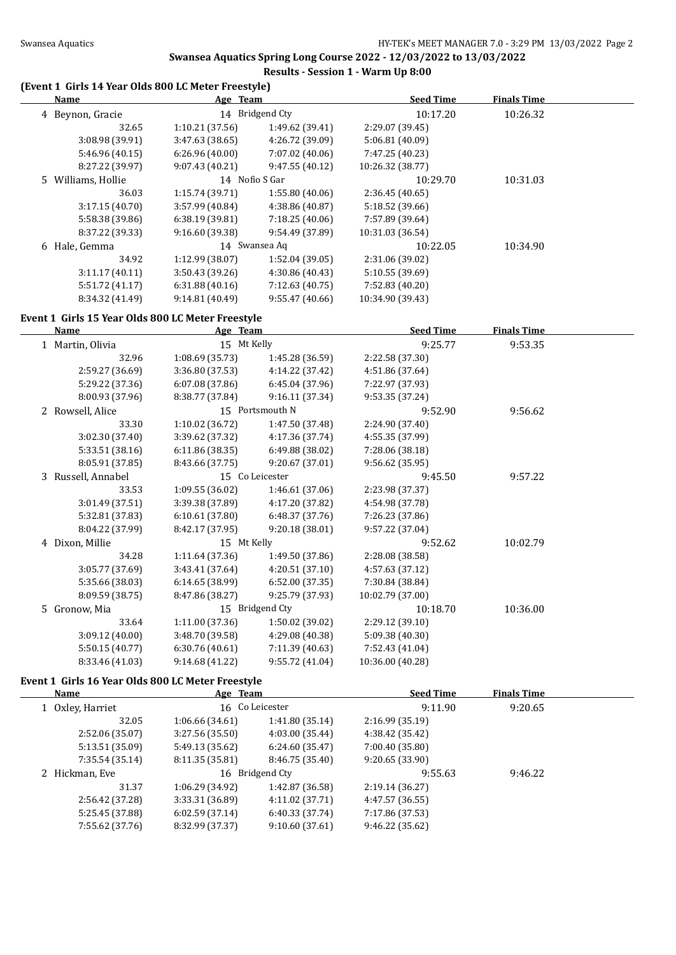# **Swansea Aquatics Spring Long Course 2022 - 12/03/2022 to 13/03/2022**

## **Results - Session 1 - Warm Up 8:00**

## **(Event 1 Girls 14 Year Olds 800 LC Meter Freestyle)**

| Name               | Age Team        |                 | <b>Seed Time</b> | <b>Finals Time</b> |  |
|--------------------|-----------------|-----------------|------------------|--------------------|--|
| 4 Beynon, Gracie   |                 | 14 Bridgend Cty | 10:17.20         | 10:26.32           |  |
| 32.65              | 1:10.21(37.56)  | 1:49.62 (39.41) | 2:29.07 (39.45)  |                    |  |
| 3:08.98 (39.91)    | 3:47.63(38.65)  | 4:26.72 (39.09) | 5:06.81 (40.09)  |                    |  |
| 5:46.96 (40.15)    | 6:26.96(40.00)  | 7:07.02(40.06)  | 7:47.25 (40.23)  |                    |  |
| 8:27.22 (39.97)    | 9:07.43(40.21)  | 9:47.55(40.12)  | 10:26.32 (38.77) |                    |  |
| 5 Williams, Hollie | 14 Nofio S Gar  |                 | 10:29.70         | 10:31.03           |  |
| 36.03              | 1:15.74(39.71)  | 1:55.80(40.06)  | 2:36.45(40.65)   |                    |  |
| 3:17.15(40.70)     | 3:57.99(40.84)  | 4:38.86 (40.87) | 5:18.52 (39.66)  |                    |  |
| 5:58.38 (39.86)    | 6:38.19(39.81)  | 7:18.25(40.06)  | 7:57.89 (39.64)  |                    |  |
| 8:37.22 (39.33)    | 9:16.60 (39.38) | 9:54.49 (37.89) | 10:31.03 (36.54) |                    |  |
| 6 Hale, Gemma      |                 | 14 Swansea Aq   | 10:22.05         | 10:34.90           |  |
| 34.92              | 1:12.99 (38.07) | 1:52.04 (39.05) | 2:31.06 (39.02)  |                    |  |
| 3:11.17(40.11)     | 3:50.43(39.26)  | 4:30.86 (40.43) | 5:10.55 (39.69)  |                    |  |
| 5:51.72 (41.17)    | 6:31.88(40.16)  | 7:12.63(40.75)  | 7:52.83 (40.20)  |                    |  |
| 8:34.32 (41.49)    | 9:14.81 (40.49) | 9:55.47 (40.66) | 10:34.90 (39.43) |                    |  |
|                    |                 |                 |                  |                    |  |

#### **Event 1 Girls 15 Year Olds 800 LC Meter Freestyle**

| <b>Name</b>        | Age Team        |                 | <b>Seed Time</b> | <b>Finals Time</b> |  |
|--------------------|-----------------|-----------------|------------------|--------------------|--|
| 1 Martin, Olivia   | 15 Mt Kelly     |                 | 9:25.77          | 9:53.35            |  |
| 32.96              | 1:08.69 (35.73) | 1:45.28 (36.59) | 2:22.58 (37.30)  |                    |  |
| 2:59.27 (36.69)    | 3:36.80 (37.53) | 4:14.22 (37.42) | 4:51.86 (37.64)  |                    |  |
| 5:29.22 (37.36)    | 6:07.08(37.86)  | 6:45.04(37.96)  | 7:22.97 (37.93)  |                    |  |
| 8:00.93 (37.96)    | 8:38.77 (37.84) | 9:16.11 (37.34) | 9:53.35 (37.24)  |                    |  |
| 2 Rowsell, Alice   |                 | 15 Portsmouth N | 9:52.90          | 9:56.62            |  |
| 33.30              | 1:10.02 (36.72) | 1:47.50 (37.48) | 2:24.90 (37.40)  |                    |  |
| 3:02.30 (37.40)    | 3:39.62 (37.32) | 4:17.36 (37.74) | 4:55.35 (37.99)  |                    |  |
| 5:33.51 (38.16)    | 6:11.86 (38.35) | 6:49.88 (38.02) | 7:28.06 (38.18)  |                    |  |
| 8:05.91 (37.85)    | 8:43.66 (37.75) | 9:20.67 (37.01) | 9:56.62(35.95)   |                    |  |
| 3 Russell, Annabel |                 | 15 Co Leicester | 9:45.50          | 9:57.22            |  |
| 33.53              | 1:09.55(36.02)  | 1:46.61 (37.06) | 2:23.98 (37.37)  |                    |  |
| 3:01.49 (37.51)    | 3:39.38 (37.89) | 4:17.20 (37.82) | 4:54.98 (37.78)  |                    |  |
| 5:32.81 (37.83)    | 6:10.61 (37.80) | 6:48.37 (37.76) | 7:26.23 (37.86)  |                    |  |
| 8:04.22 (37.99)    | 8:42.17 (37.95) | 9:20.18 (38.01) | 9:57.22 (37.04)  |                    |  |
| 4 Dixon, Millie    | 15 Mt Kelly     |                 | 9:52.62          | 10:02.79           |  |
| 34.28              | 1:11.64 (37.36) | 1:49.50 (37.86) | 2:28.08 (38.58)  |                    |  |
| 3:05.77 (37.69)    | 3:43.41(37.64)  | 4:20.51 (37.10) | 4:57.63 (37.12)  |                    |  |
| 5:35.66 (38.03)    | 6:14.65(38.99)  | 6:52.00(37.35)  | 7:30.84 (38.84)  |                    |  |
| 8:09.59 (38.75)    | 8:47.86 (38.27) | 9:25.79 (37.93) | 10:02.79 (37.00) |                    |  |
| 5 Gronow, Mia      |                 | 15 Bridgend Cty | 10:18.70         | 10:36.00           |  |
| 33.64              | 1:11.00 (37.36) | 1:50.02 (39.02) | 2:29.12 (39.10)  |                    |  |
| 3:09.12 (40.00)    | 3:48.70 (39.58) | 4:29.08 (40.38) | 5:09.38 (40.30)  |                    |  |
| 5:50.15 (40.77)    | 6:30.76(40.61)  | 7:11.39 (40.63) | 7:52.43 (41.04)  |                    |  |
| 8:33.46 (41.03)    | 9:14.68 (41.22) | 9:55.72 (41.04) | 10:36.00 (40.28) |                    |  |

## **Event 1 Girls 16 Year Olds 800 LC Meter Freestyle**

| <b>Name</b>      | Age Team        |                 | <b>Seed Time</b> | <b>Finals Time</b> |  |
|------------------|-----------------|-----------------|------------------|--------------------|--|
| 1 Oxley, Harriet |                 | 16 Co Leicester |                  | 9:20.65            |  |
| 32.05            | 1:06.66(34.61)  | 1:41.80(35.14)  | 2:16.99(35.19)   |                    |  |
| 2:52.06 (35.07)  | 3:27.56 (35.50) | 4:03.00(35.44)  | 4:38.42 (35.42)  |                    |  |
| 5:13.51 (35.09)  | 5:49.13 (35.62) | 6:24.60(35.47)  | 7:00.40 (35.80)  |                    |  |
| 7:35.54 (35.14)  | 8:11.35(35.81)  | 8:46.75 (35.40) | 9:20.65(33.90)   |                    |  |
| 2 Hickman, Eve   |                 | 16 Bridgend Cty | 9:55.63          | 9:46.22            |  |
| 31.37            | 1:06.29(34.92)  | 1:42.87 (36.58) | 2:19.14(36.27)   |                    |  |
| 2:56.42 (37.28)  | 3:33.31 (36.89) | 4:11.02(37.71)  | 4:47.57 (36.55)  |                    |  |
| 5:25.45 (37.88)  | 6:02.59(37.14)  | 6:40.33(37.74)  | 7:17.86 (37.53)  |                    |  |
| 7:55.62 (37.76)  | 8:32.99 (37.37) | 9:10.60(37.61)  | 9:46.22(35.62)   |                    |  |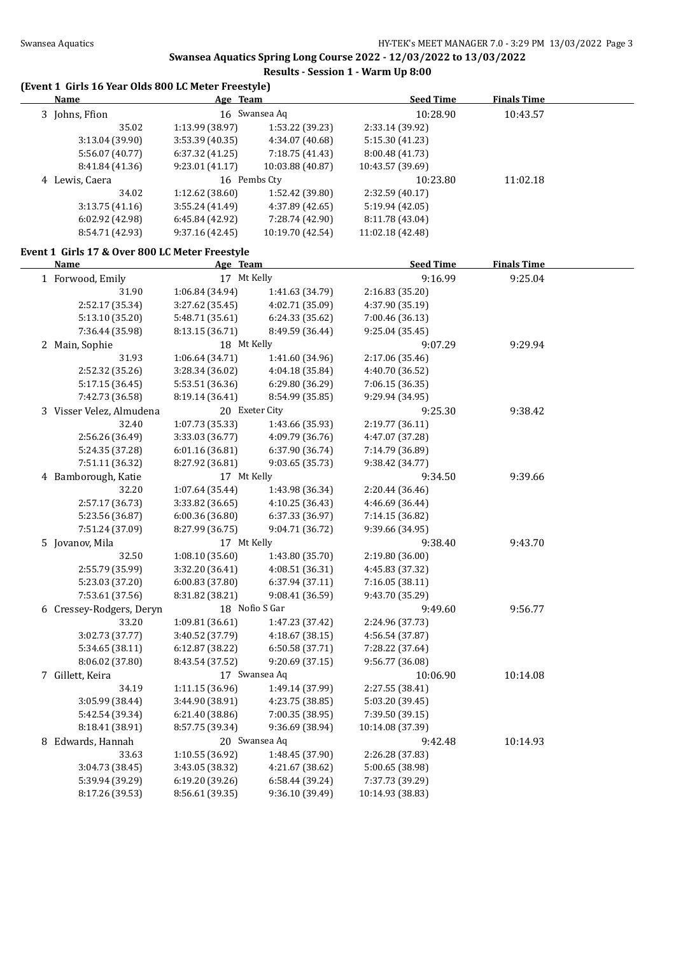$\overline{a}$ 

# **Swansea Aquatics Spring Long Course 2022 - 12/03/2022 to 13/03/2022**

## **Results - Session 1 - Warm Up 8:00**

# **(Event 1 Girls 16 Year Olds 800 LC Meter Freestyle)**

| Name            | Age Team       |                  | <b>Seed Time</b> | <b>Finals Time</b> |  |
|-----------------|----------------|------------------|------------------|--------------------|--|
| 3 Johns, Ffion  |                | 16 Swansea Ag    | 10:28.90         | 10:43.57           |  |
| 35.02           | 1:13.99(38.97) | 1:53.22 (39.23)  | 2:33.14 (39.92)  |                    |  |
| 3:13.04(39.90)  | 3:53.39(40.35) | 4:34.07 (40.68)  | 5:15.30(41.23)   |                    |  |
| 5:56.07 (40.77) | 6:37.32(41.25) | 7:18.75 (41.43)  | 8:00.48 (41.73)  |                    |  |
| 8:41.84 (41.36) | 9:23.01(41.17) | 10:03.88 (40.87) | 10:43.57 (39.69) |                    |  |
| 4 Lewis, Caera  | 16 Pembs Cty   |                  | 10:23.80         | 11:02.18           |  |
| 34.02           | 1:12.62(38.60) | 1:52.42 (39.80)  | 2:32.59(40.17)   |                    |  |
| 3:13.75(41.16)  | 3:55.24(41.49) | 4:37.89 (42.65)  | 5:19.94 (42.05)  |                    |  |
| 6:02.92(42.98)  | 6:45.84(42.92) | 7:28.74 (42.90)  | 8:11.78 (43.04)  |                    |  |
| 8:54.71 (42.93) | 9:37.16(42.45) | 10:19.70 (42.54) | 11:02.18 (42.48) |                    |  |
|                 |                |                  |                  |                    |  |

### **Event 1 Girls 17 & Over 800 LC Meter Freestyle**

| <b>Name</b>              | Age Team        |                 | <b>Seed Time</b> | <b>Finals Time</b> |  |
|--------------------------|-----------------|-----------------|------------------|--------------------|--|
| 1 Forwood, Emily         | 17 Mt Kelly     |                 | 9:16.99          | 9:25.04            |  |
| 31.90                    | 1:06.84 (34.94) | 1:41.63 (34.79) | 2:16.83 (35.20)  |                    |  |
| 2:52.17 (35.34)          | 3:27.62 (35.45) | 4:02.71 (35.09) | 4:37.90 (35.19)  |                    |  |
| 5:13.10 (35.20)          | 5:48.71 (35.61) | 6:24.33 (35.62) | 7:00.46 (36.13)  |                    |  |
| 7:36.44 (35.98)          | 8:13.15 (36.71) | 8:49.59 (36.44) | 9:25.04 (35.45)  |                    |  |
| 2 Main, Sophie           | 18 Mt Kelly     |                 | 9:07.29          | 9:29.94            |  |
| 31.93                    | 1:06.64 (34.71) | 1:41.60 (34.96) | 2:17.06 (35.46)  |                    |  |
| 2:52.32 (35.26)          | 3:28.34 (36.02) | 4:04.18 (35.84) | 4:40.70 (36.52)  |                    |  |
| 5:17.15 (36.45)          | 5:53.51 (36.36) | 6:29.80 (36.29) | 7:06.15 (36.35)  |                    |  |
| 7:42.73 (36.58)          | 8:19.14 (36.41) | 8:54.99 (35.85) | 9:29.94 (34.95)  |                    |  |
| 3 Visser Velez, Almudena |                 | 20 Exeter City  | 9:25.30          | 9:38.42            |  |
| 32.40                    | 1:07.73 (35.33) | 1:43.66 (35.93) | 2:19.77 (36.11)  |                    |  |
| 2:56.26 (36.49)          | 3:33.03 (36.77) | 4:09.79 (36.76) | 4:47.07 (37.28)  |                    |  |
| 5:24.35 (37.28)          | 6:01.16(36.81)  | 6:37.90 (36.74) | 7:14.79 (36.89)  |                    |  |
| 7:51.11 (36.32)          | 8:27.92 (36.81) | 9:03.65 (35.73) | 9:38.42 (34.77)  |                    |  |
| 4 Bamborough, Katie      | 17 Mt Kelly     |                 | 9:34.50          | 9:39.66            |  |
| 32.20                    | 1:07.64 (35.44) | 1:43.98 (36.34) | 2:20.44 (36.46)  |                    |  |
| 2:57.17 (36.73)          | 3:33.82 (36.65) | 4:10.25 (36.43) | 4:46.69 (36.44)  |                    |  |
| 5:23.56 (36.87)          | 6:00.36 (36.80) | 6:37.33 (36.97) | 7:14.15 (36.82)  |                    |  |
| 7:51.24 (37.09)          | 8:27.99 (36.75) | 9:04.71 (36.72) | 9:39.66 (34.95)  |                    |  |
| 5 Jovanov, Mila          | 17 Mt Kelly     |                 | 9:38.40          | 9:43.70            |  |
| 32.50                    | 1:08.10 (35.60) | 1:43.80 (35.70) | 2:19.80 (36.00)  |                    |  |
| 2:55.79 (35.99)          | 3:32.20 (36.41) | 4:08.51 (36.31) | 4:45.83 (37.32)  |                    |  |
| 5:23.03 (37.20)          | 6:00.83 (37.80) | 6:37.94 (37.11) | 7:16.05 (38.11)  |                    |  |
| 7:53.61 (37.56)          | 8:31.82 (38.21) | 9:08.41 (36.59) | 9:43.70 (35.29)  |                    |  |
| 6 Cressey-Rodgers, Deryn |                 | 18 Nofio S Gar  | 9:49.60          | 9:56.77            |  |
| 33.20                    | 1:09.81 (36.61) | 1:47.23 (37.42) | 2:24.96 (37.73)  |                    |  |
| 3:02.73 (37.77)          | 3:40.52 (37.79) | 4:18.67 (38.15) | 4:56.54 (37.87)  |                    |  |
| 5:34.65 (38.11)          | 6:12.87 (38.22) | 6:50.58 (37.71) | 7:28.22 (37.64)  |                    |  |
| 8:06.02 (37.80)          | 8:43.54 (37.52) | 9:20.69 (37.15) | 9:56.77 (36.08)  |                    |  |
| 7 Gillett, Keira         |                 | 17 Swansea Aq   | 10:06.90         | 10:14.08           |  |
| 34.19                    | 1:11.15 (36.96) | 1:49.14 (37.99) | 2:27.55 (38.41)  |                    |  |
| 3:05.99 (38.44)          | 3:44.90 (38.91) | 4:23.75 (38.85) | 5:03.20 (39.45)  |                    |  |
| 5:42.54 (39.34)          | 6:21.40 (38.86) | 7:00.35 (38.95) | 7:39.50 (39.15)  |                    |  |
| 8:18.41 (38.91)          | 8:57.75 (39.34) | 9:36.69 (38.94) | 10:14.08 (37.39) |                    |  |
| 8 Edwards, Hannah        |                 | 20 Swansea Aq   | 9:42.48          | 10:14.93           |  |
| 33.63                    | 1:10.55 (36.92) | 1:48.45 (37.90) | 2:26.28 (37.83)  |                    |  |
| 3:04.73 (38.45)          | 3:43.05 (38.32) | 4:21.67 (38.62) | 5:00.65 (38.98)  |                    |  |
| 5:39.94 (39.29)          | 6:19.20 (39.26) | 6:58.44 (39.24) | 7:37.73 (39.29)  |                    |  |
| 8:17.26 (39.53)          | 8:56.61 (39.35) | 9:36.10 (39.49) | 10:14.93 (38.83) |                    |  |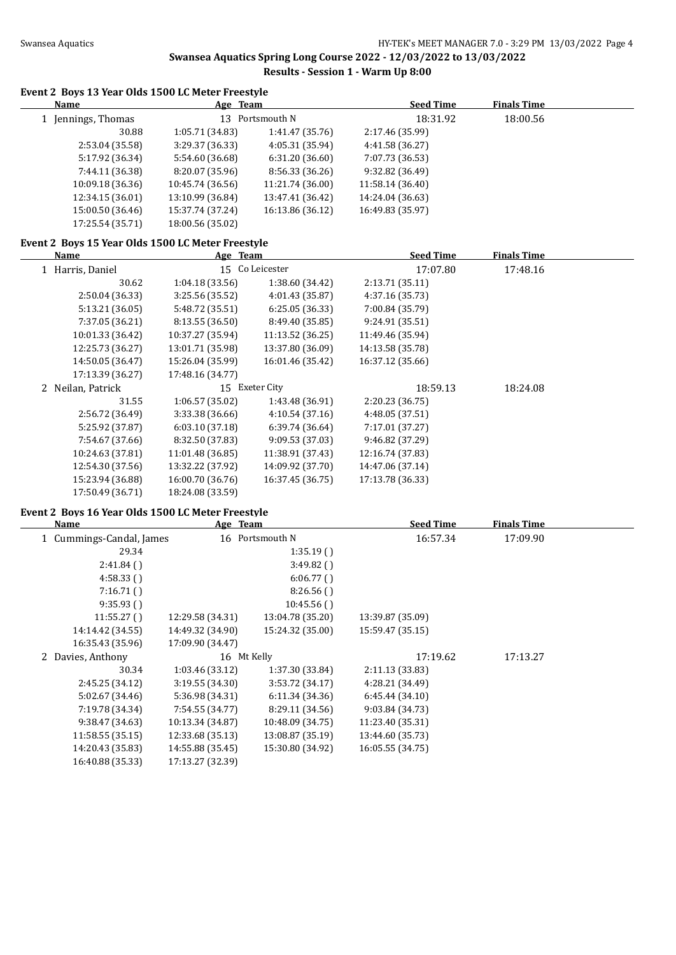# **Swansea Aquatics Spring Long Course 2022 - 12/03/2022 to 13/03/2022**

# **Results - Session 1 - Warm Up 8:00**

## **Event 2 Boys 13 Year Olds 1500 LC Meter Freestyle**

| Name |                    | Age Team         |                  | <b>Seed Time</b> | <b>Finals Time</b> |  |
|------|--------------------|------------------|------------------|------------------|--------------------|--|
|      | 1 Jennings, Thomas |                  | 13 Portsmouth N  | 18:31.92         | 18:00.56           |  |
|      | 30.88              | 1:05.71(34.83)   | 1:41.47(35.76)   | 2:17.46 (35.99)  |                    |  |
|      | 2:53.04 (35.58)    | 3:29.37 (36.33)  | 4:05.31 (35.94)  | 4:41.58 (36.27)  |                    |  |
|      | 5:17.92 (36.34)    | 5:54.60 (36.68)  | 6:31.20(36.60)   | 7:07.73 (36.53)  |                    |  |
|      | 7:44.11 (36.38)    | 8:20.07 (35.96)  | 8:56.33 (36.26)  | 9:32.82(36.49)   |                    |  |
|      | 10:09.18 (36.36)   | 10:45.74 (36.56) | 11:21.74 (36.00) | 11:58.14 (36.40) |                    |  |
|      | 12:34.15 (36.01)   | 13:10.99 (36.84) | 13:47.41 (36.42) | 14:24.04 (36.63) |                    |  |
|      | 15:00.50 (36.46)   | 15:37.74 (37.24) | 16:13.86 (36.12) | 16:49.83 (35.97) |                    |  |
|      | 17:25.54 (35.71)   | 18:00.56 (35.02) |                  |                  |                    |  |
|      |                    |                  |                  |                  |                    |  |

## **Event 2 Boys 15 Year Olds 1500 LC Meter Freestyle**

| Name              | Age Team         |                  | <b>Seed Time</b> | <b>Finals Time</b> |  |
|-------------------|------------------|------------------|------------------|--------------------|--|
| 1 Harris, Daniel  | 15 <sup>2</sup>  | Co Leicester     | 17:07.80         | 17:48.16           |  |
| 30.62             | 1:04.18(33.56)   | 1:38.60 (34.42)  | 2:13.71 (35.11)  |                    |  |
| 2:50.04 (36.33)   | 3:25.56 (35.52)  | 4:01.43 (35.87)  | 4:37.16 (35.73)  |                    |  |
| 5:13.21 (36.05)   | 5:48.72 (35.51)  | 6:25.05(36.33)   | 7:00.84 (35.79)  |                    |  |
| 7:37.05 (36.21)   | 8:13.55 (36.50)  | 8:49.40 (35.85)  | 9:24.91 (35.51)  |                    |  |
| 10:01.33 (36.42)  | 10:37.27 (35.94) | 11:13.52 (36.25) | 11:49.46 (35.94) |                    |  |
| 12:25.73 (36.27)  | 13:01.71 (35.98) | 13:37.80 (36.09) | 14:13.58 (35.78) |                    |  |
| 14:50.05 (36.47)  | 15:26.04 (35.99) | 16:01.46 (35.42) | 16:37.12 (35.66) |                    |  |
| 17:13.39 (36.27)  | 17:48.16 (34.77) |                  |                  |                    |  |
| 2 Neilan, Patrick | 15               | Exeter City      | 18:59.13         | 18:24.08           |  |
| 31.55             | 1:06.57(35.02)   | 1:43.48 (36.91)  | 2:20.23 (36.75)  |                    |  |
| 2:56.72 (36.49)   | 3:33.38(36.66)   | 4:10.54(37.16)   | 4:48.05 (37.51)  |                    |  |
| 5:25.92 (37.87)   | 6:03.10(37.18)   | 6:39.74(36.64)   | 7:17.01 (37.27)  |                    |  |
| 7:54.67 (37.66)   | 8:32.50 (37.83)  | 9:09.53 (37.03)  | 9:46.82 (37.29)  |                    |  |
| 10:24.63 (37.81)  | 11:01.48 (36.85) | 11:38.91 (37.43) | 12:16.74 (37.83) |                    |  |
| 12:54.30 (37.56)  | 13:32.22 (37.92) | 14:09.92 (37.70) | 14:47.06 (37.14) |                    |  |
| 15:23.94 (36.88)  | 16:00.70 (36.76) | 16:37.45 (36.75) | 17:13.78 (36.33) |                    |  |
| 17:50.49 (36.71)  | 18:24.08 (33.59) |                  |                  |                    |  |

### **Event 2 Boys 16 Year Olds 1500 LC Meter Freestyle**

| Name                     | Age Team         |                  | <b>Seed Time</b> | <b>Finals Time</b> |  |
|--------------------------|------------------|------------------|------------------|--------------------|--|
| 1 Cummings-Candal, James |                  | 16 Portsmouth N  | 16:57.34         | 17:09.90           |  |
| 29.34                    |                  | 1:35.19()        |                  |                    |  |
| 2:41.84()                |                  | 3:49.82()        |                  |                    |  |
| 4:58.33()                |                  | 6:06.77()        |                  |                    |  |
| 7:16.71()                |                  | 8:26.56()        |                  |                    |  |
| 9:35.93(                 |                  | 10:45.56()       |                  |                    |  |
| 11:55.27()               | 12:29.58 (34.31) | 13:04.78 (35.20) | 13:39.87 (35.09) |                    |  |
| 14:14.42 (34.55)         | 14:49.32 (34.90) | 15:24.32 (35.00) | 15:59.47 (35.15) |                    |  |
| 16:35.43 (35.96)         | 17:09.90 (34.47) |                  |                  |                    |  |
| 2 Davies, Anthony        | 16 Mt Kelly      |                  | 17:19.62         | 17:13.27           |  |
| 30.34                    | 1:03.46(33.12)   | 1:37.30 (33.84)  | 2:11.13 (33.83)  |                    |  |
| 2:45.25 (34.12)          | 3:19.55(34.30)   | 3:53.72 (34.17)  | 4:28.21 (34.49)  |                    |  |
| 5:02.67 (34.46)          | 5:36.98 (34.31)  | 6:11.34(34.36)   | 6:45.44(34.10)   |                    |  |
| 7:19.78 (34.34)          | 7:54.55 (34.77)  | 8:29.11 (34.56)  | 9:03.84 (34.73)  |                    |  |
| 9:38.47 (34.63)          | 10:13.34 (34.87) | 10:48.09 (34.75) | 11:23.40 (35.31) |                    |  |
| 11:58.55 (35.15)         | 12:33.68 (35.13) | 13:08.87 (35.19) | 13:44.60 (35.73) |                    |  |
| 14:20.43 (35.83)         | 14:55.88 (35.45) | 15:30.80 (34.92) | 16:05.55 (34.75) |                    |  |
| 16:40.88 (35.33)         | 17:13.27 (32.39) |                  |                  |                    |  |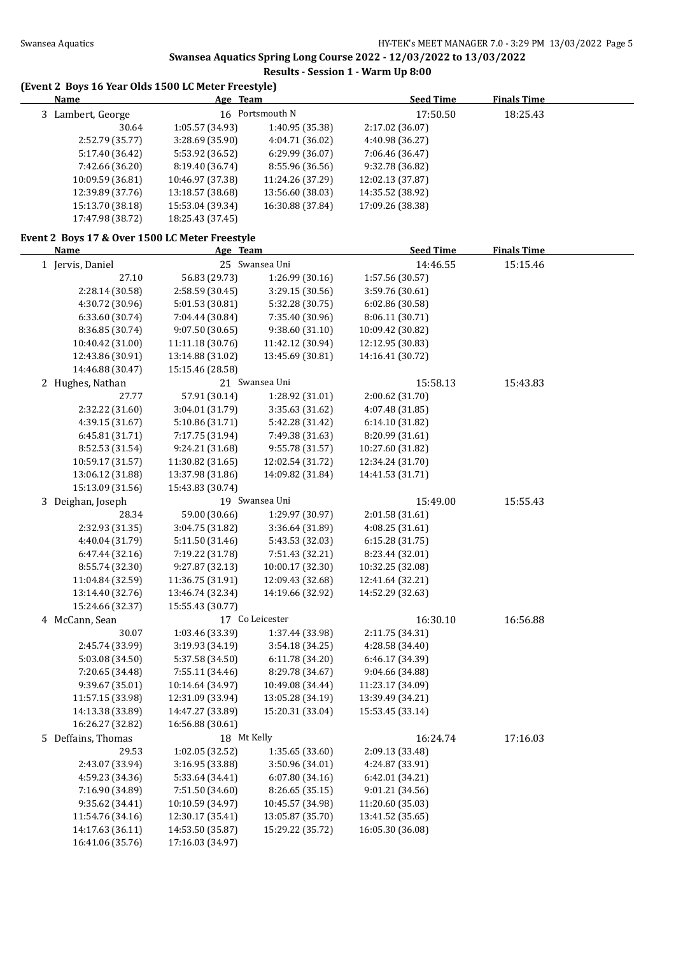# **Swansea Aquatics Spring Long Course 2022 - 12/03/2022 to 13/03/2022**

## **Results - Session 1 - Warm Up 8:00**

## **(Event 2 Boys 16 Year Olds 1500 LC Meter Freestyle)**

| <b>Name</b>                                    | Age Team         |                  | <b>Seed Time</b> | <b>Finals Time</b> |  |
|------------------------------------------------|------------------|------------------|------------------|--------------------|--|
| 3 Lambert, George                              |                  | 16 Portsmouth N  | 17:50.50         | 18:25.43           |  |
| 30.64                                          | 1:05.57 (34.93)  | 1:40.95 (35.38)  | 2:17.02 (36.07)  |                    |  |
| 2:52.79 (35.77)                                | 3:28.69 (35.90)  | 4:04.71 (36.02)  | 4:40.98 (36.27)  |                    |  |
| 5:17.40 (36.42)                                | 5:53.92 (36.52)  | 6:29.99 (36.07)  | 7:06.46 (36.47)  |                    |  |
| 7:42.66 (36.20)                                | 8:19.40 (36.74)  | 8:55.96 (36.56)  | 9:32.78 (36.82)  |                    |  |
| 10:09.59 (36.81)                               | 10:46.97 (37.38) | 11:24.26 (37.29) | 12:02.13 (37.87) |                    |  |
| 12:39.89 (37.76)                               | 13:18.57 (38.68) | 13:56.60 (38.03) | 14:35.52 (38.92) |                    |  |
| 15:13.70 (38.18)                               | 15:53.04 (39.34) | 16:30.88 (37.84) | 17:09.26 (38.38) |                    |  |
| 17:47.98 (38.72)                               | 18:25.43 (37.45) |                  |                  |                    |  |
| Event 2 Boys 17 & Over 1500 LC Meter Freestyle |                  |                  |                  |                    |  |
| Name                                           | Age Team         |                  | <b>Seed Time</b> | <b>Finals Time</b> |  |
| 1 Jervis, Daniel                               |                  | 25 Swansea Uni   | 14:46.55         | 15:15.46           |  |
| 27.10                                          | 56.83 (29.73)    | 1:26.99 (30.16)  | 1:57.56 (30.57)  |                    |  |
| 2:28.14 (30.58)                                | 2:58.59 (30.45)  | 3:29.15 (30.56)  | 3:59.76 (30.61)  |                    |  |
| 4:30.72 (30.96)                                | 5:01.53 (30.81)  | 5:32.28 (30.75)  | 6:02.86 (30.58)  |                    |  |
| 6:33.60 (30.74)                                | 7:04.44 (30.84)  | 7:35.40 (30.96)  | 8:06.11 (30.71)  |                    |  |
| 8:36.85 (30.74)                                | 9:07.50 (30.65)  | 9:38.60(31.10)   | 10:09.42 (30.82) |                    |  |
| 10:40.42 (31.00)                               | 11:11.18 (30.76) | 11:42.12 (30.94) | 12:12.95 (30.83) |                    |  |
| 12:43.86 (30.91)                               | 13:14.88 (31.02) | 13:45.69 (30.81) | 14:16.41 (30.72) |                    |  |
| 14:46.88 (30.47)                               | 15:15.46 (28.58) |                  |                  |                    |  |
| 2 Hughes, Nathan                               |                  | 21 Swansea Uni   | 15:58.13         | 15:43.83           |  |
|                                                |                  |                  |                  |                    |  |
| 27.77                                          | 57.91 (30.14)    | 1:28.92 (31.01)  | 2:00.62 (31.70)  |                    |  |
| 2:32.22 (31.60)                                | 3:04.01 (31.79)  | 3:35.63 (31.62)  | 4:07.48 (31.85)  |                    |  |
| 4:39.15 (31.67)                                | 5:10.86 (31.71)  | 5:42.28 (31.42)  | 6:14.10 (31.82)  |                    |  |
| 6:45.81 (31.71)                                | 7:17.75 (31.94)  | 7:49.38 (31.63)  | 8:20.99 (31.61)  |                    |  |
| 8:52.53 (31.54)                                | 9:24.21 (31.68)  | 9:55.78 (31.57)  | 10:27.60 (31.82) |                    |  |
| 10:59.17 (31.57)                               | 11:30.82 (31.65) | 12:02.54 (31.72) | 12:34.24 (31.70) |                    |  |
| 13:06.12 (31.88)                               | 13:37.98 (31.86) | 14:09.82 (31.84) | 14:41.53 (31.71) |                    |  |
| 15:13.09 (31.56)                               | 15:43.83 (30.74) |                  |                  |                    |  |
| 3 Deighan, Joseph                              |                  | 19 Swansea Uni   | 15:49.00         | 15:55.43           |  |
| 28.34                                          | 59.00 (30.66)    | 1:29.97 (30.97)  | 2:01.58 (31.61)  |                    |  |
| 2:32.93 (31.35)                                | 3:04.75 (31.82)  | 3:36.64 (31.89)  | 4:08.25 (31.61)  |                    |  |
| 4:40.04 (31.79)                                | 5:11.50 (31.46)  | 5:43.53 (32.03)  | 6:15.28(31.75)   |                    |  |
| 6:47.44 (32.16)                                | 7:19.22 (31.78)  | 7:51.43 (32.21)  | 8:23.44 (32.01)  |                    |  |
| 8:55.74 (32.30)                                | 9:27.87 (32.13)  | 10:00.17 (32.30) | 10:32.25 (32.08) |                    |  |
| 11:04.84 (32.59)                               | 11:36.75 (31.91) | 12:09.43 (32.68) | 12:41.64 (32.21) |                    |  |
| 13:14.40 (32.76)                               | 13:46.74 (32.34) | 14:19.66 (32.92) | 14:52.29 (32.63) |                    |  |
| 15:24.66 (32.37)                               | 15:55.43 (30.77) |                  |                  |                    |  |
| 4 McCann, Sean                                 |                  | 17 Co Leicester  | 16:30.10         | 16:56.88           |  |
| 30.07                                          | 1:03.46 (33.39)  | 1:37.44 (33.98)  | 2:11.75 (34.31)  |                    |  |
| 2:45.74 (33.99)                                | 3:19.93 (34.19)  | 3:54.18 (34.25)  | 4:28.58 (34.40)  |                    |  |
| 5:03.08 (34.50)                                | 5:37.58 (34.50)  | 6:11.78 (34.20)  | 6:46.17 (34.39)  |                    |  |
| 7:20.65 (34.48)                                | 7:55.11 (34.46)  | 8:29.78 (34.67)  | 9:04.66 (34.88)  |                    |  |
| 9:39.67 (35.01)                                | 10:14.64 (34.97) | 10:49.08 (34.44) | 11:23.17 (34.09) |                    |  |
| 11:57.15 (33.98)                               | 12:31.09 (33.94) | 13:05.28 (34.19) | 13:39.49 (34.21) |                    |  |
| 14:13.38 (33.89)                               | 14:47.27 (33.89) | 15:20.31 (33.04) | 15:53.45 (33.14) |                    |  |
| 16:26.27 (32.82)                               | 16:56.88 (30.61) |                  |                  |                    |  |
| 5 Deffains, Thomas                             | 18 Mt Kelly      |                  | 16:24.74         | 17:16.03           |  |
| 29.53                                          | 1:02.05 (32.52)  | 1:35.65 (33.60)  | 2:09.13 (33.48)  |                    |  |
| 2:43.07 (33.94)                                | 3:16.95 (33.88)  | 3:50.96 (34.01)  | 4:24.87 (33.91)  |                    |  |
| 4:59.23 (34.36)                                | 5:33.64 (34.41)  | 6:07.80 (34.16)  | 6:42.01 (34.21)  |                    |  |
| 7:16.90 (34.89)                                | 7:51.50 (34.60)  | 8:26.65 (35.15)  | 9:01.21 (34.56)  |                    |  |
| 9:35.62 (34.41)                                | 10:10.59 (34.97) | 10:45.57 (34.98) | 11:20.60 (35.03) |                    |  |
| 11:54.76 (34.16)                               | 12:30.17 (35.41) | 13:05.87 (35.70) | 13:41.52 (35.65) |                    |  |
| 14:17.63 (36.11)                               | 14:53.50 (35.87) | 15:29.22 (35.72) | 16:05.30 (36.08) |                    |  |
| 16:41.06 (35.76)                               | 17:16.03 (34.97) |                  |                  |                    |  |